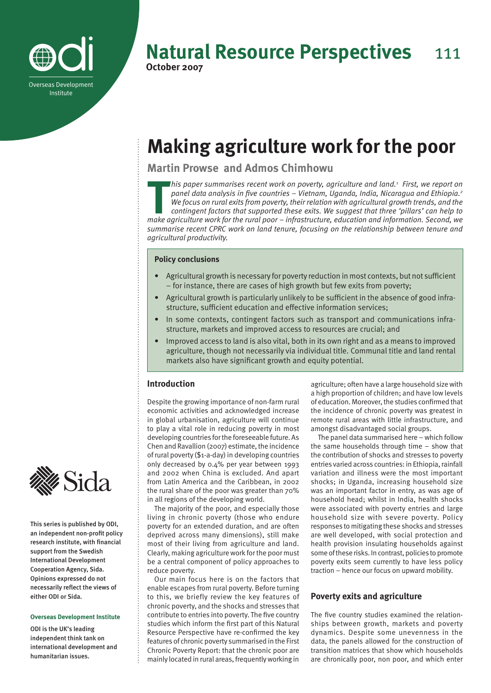

# **Natural Resource Perspectives** 111 **October 2007**

# **Making agriculture work for the poor**

**Martin Prowse and Admos Chimhowu** 

**This paper summarises recent work on poverty, agriculture and land.<sup>1</sup> First, we report on panel data analysis in five countries – Vietnam, Uganda, India, Nicaragua and Ethiopia.<sup>2</sup> We focus on rural exits from poverty, t** his paper summarises recent work on poverty, agriculture and land.<sup>1</sup> First, we report on *panel data analysis in five countries – Vietnam, Uganda, India, Nicaragua and Ethiopia.2 We focus on rural exits from poverty, their relation with agricultural growth trends, and the contingent factors that supported these exits. We suggest that three 'pillars' can help to summarise recent CPRC work on land tenure, focusing on the relationship between tenure and agricultural productivity.*

# **Policy conclusions**

- Agricultural growth is necessary for poverty reduction in most contexts, but not sufficient – for instance, there are cases of high growth but few exits from poverty; •
- Agricultural growth is particularly unlikely to be sufficient in the absence of good infrastructure, sufficient education and effective information services; •
- In some contexts, contingent factors such as transport and communications infrastructure, markets and improved access to resources are crucial; and •
- Improved access to land is also vital, both in its own right and as a means to improved agriculture, though not necessarily via individual title. Communal title and land rental markets also have significant growth and equity potential. •

# **Introduction**

Despite the growing importance of non-farm rural economic activities and acknowledged increase in global urbanisation, agriculture will continue to play a vital role in reducing poverty in most developing countries for the foreseeable future. As Chen and Ravallion (2007) estimate, the incidence of rural poverty (\$1-a-day) in developing countries only decreased by 0.4% per year between 1993 and 2002 when China is excluded. And apart from Latin America and the Caribbean, in 2002 the rural share of the poor was greater than 70% in all regions of the developing world.

The majority of the poor, and especially those living in chronic poverty (those who endure poverty for an extended duration, and are often deprived across many dimensions), still make most of their living from agriculture and land. Clearly, making agriculture work for the poor must be a central component of policy approaches to reduce poverty.

Our main focus here is on the factors that enable escapes from rural poverty. Before turning to this, we briefly review the key features of chronic poverty, and the shocks and stresses that contribute to entries into poverty. The five country studies which inform the first part of this Natural Resource Perspective have re-confirmed the key features of chronic poverty summarised in the First Chronic Poverty Report: that the chronic poor are mainly located in rural areas, frequently working in

agriculture; often have a large household size with a high proportion of children; and have low levels of education. Moreover, the studies confirmed that the incidence of chronic poverty was greatest in remote rural areas with little infrastructure, and amongst disadvantaged social groups.

The panel data summarised here – which follow the same households through time – show that the contribution of shocks and stresses to poverty entries varied across countries: in Ethiopia, rainfall variation and illness were the most important shocks; in Uganda, increasing household size was an important factor in entry, as was age of household head; whilst in India, health shocks were associated with poverty entries and large household size with severe poverty. Policy responses to mitigating these shocks and stresses are well developed, with social protection and health provision insulating households against some of these risks. In contrast, policies to promote poverty exits seem currently to have less policy traction – hence our focus on upward mobility.

# **Poverty exits and agriculture**

The five country studies examined the relationships between growth, markets and poverty dynamics. Despite some unevenness in the data, the panels allowed for the construction of transition matrices that show which households are chronically poor, non poor, and which enter



This series is published by ODI, an independent non-profit policy research institute, with financial support from the Swedish International Development Cooperation Agency, Sida. Opinions expressed do not necessarily reflect the views of either ODI or Sida.

# **Overseas Development Institute**

ODI is the UK's leading independent think tank on international development and humanitarian issues.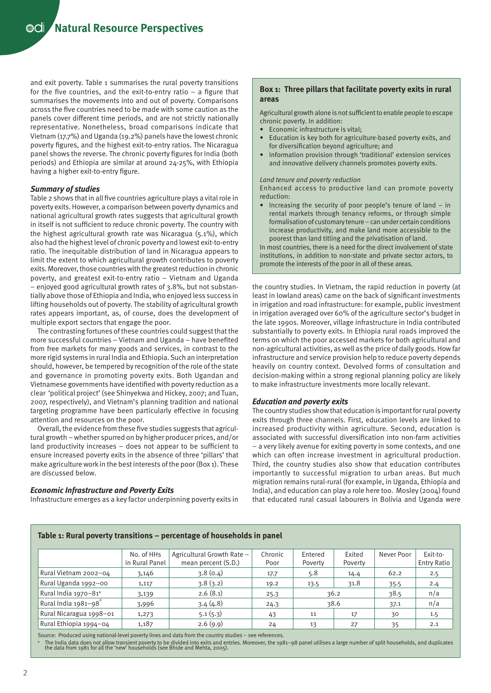**Natural Resource Perspectives**

and exit poverty. Table 1 summarises the rural poverty transitions for the five countries, and the exit-to-entry ratio  $-$  a figure that summarises the movements into and out of poverty. Comparisons across the five countries need to be made with some caution as the panels cover different time periods, and are not strictly nationally representative. Nonetheless, broad comparisons indicate that Vietnam (17.7%) and Uganda (19.2%) panels have the lowest chronic poverty figures, and the highest exit-to-entry ratios. The Nicaragua panel shows the reverse. The chronic poverty figures for India (both periods) and Ethiopia are similar at around 24-25%, with Ethiopia having a higher exit-to-entry figure.

# *Summary of studies*

Table 2 shows that in all five countries agriculture plays a vital role in poverty exits. However, a comparison between poverty dynamics and national agricultural growth rates suggests that agricultural growth in itself is not sufficient to reduce chronic poverty. The country with the highest agricultural growth rate was Nicaragua (5.1%), which also had the highest level of chronic poverty and lowest exit-to-entry ratio. The inequitable distribution of land in Nicaragua appears to limit the extent to which agricultural growth contributes to poverty exits. Moreover, those countries with the greatest reduction in chronic poverty, and greatest exit-to-entry ratio – Vietnam and Uganda – enjoyed good agricultural growth rates of 3.8%, but not substantially above those of Ethiopia and India, who enjoyed less success in lifting households out of poverty. The stability of agricultural growth rates appears important, as, of course, does the development of multiple export sectors that engage the poor.

The contrasting fortunes of these countries could suggest that the more successful countries – Vietnam and Uganda – have benefited from free markets for many goods and services, in contrast to the more rigid systems in rural India and Ethiopia. Such an interpretation should, however, be tempered by recognition of the role of the state and governance in promoting poverty exits. Both Ugandan and Vietnamese governments have identified with poverty reduction as a clear 'political project' (see Shinyekwa and Hickey, 2007; and Tuan, 2007, respectively), and Vietnam's planning tradition and national targeting programme have been particularly effective in focusing attention and resources on the poor.

Overall, the evidence from these five studies suggests that agricultural growth – whether spurred on by higher producer prices, and/or land productivity increases – does not appear to be sufficient to ensure increased poverty exits in the absence of three 'pillars' that make agriculture work in the best interests of the poor (Box 1). These are discussed below.

# *Economic Infrastructure and Poverty Exits*

Infrastructure emerges as a key factor underpinning poverty exits in

# **Box 1: Three pillars that facilitate poverty exits in rural areas**

Agricultural growth alone is not sufficient to enable people to escape chronic poverty. In addition:

- Economic infrastructure is vital;
- Education is key both for agriculture-based poverty exits, and for diversification beyond agriculture; and
- Information provision through 'traditional' extension services and innovative delivery channels promotes poverty exits.

#### *Land tenure and poverty reduction*

Enhanced access to productive land can promote poverty reduction:

• Increasing the security of poor people's tenure of land – in rental markets through tenancy reforms, or through simple formalisation of customary tenure – can under certain conditions increase productivity, and make land more accessible to the poorest than land titling and the privatisation of land.

In most countries, there is a need for the direct involvement of state institutions, in addition to non-state and private sector actors, to promote the interests of the poor in all of these areas.

the country studies. In Vietnam, the rapid reduction in poverty (at least in lowland areas) came on the back of significant investments in irrigation and road infrastructure: for example, public investment in irrigation averaged over 60% of the agriculture sector's budget in the late 1990s. Moreover, village infrastructure in India contributed substantially to poverty exits. In Ethiopia rural roads improved the terms on which the poor accessed markets for both agricultural and non-agricultural activities, as well as the price of daily goods. How far infrastructure and service provision help to reduce poverty depends heavily on country context. Devolved forms of consultation and decision-making within a strong regional planning policy are likely to make infrastructure investments more locally relevant.

## *Education and poverty exits*

The country studies show that education is important for rural poverty exits through three channels. First, education levels are linked to increased productivity within agriculture. Second, education is associated with successful diversification into non-farm activities – a very likely avenue for exiting poverty in some contexts, and one which can often increase investment in agricultural production. Third, the country studies also show that education contributes importantly to successful migration to urban areas. But much migration remains rural-rural (for example, in Uganda, Ethiopia and India), and education can play a role here too. Mosley (2004) found that educated rural casual labourers in Bolivia and Uganda were

# **Table 1: Rural poverty transitions – percentage of households in panel**

|                                  | No. of HHs<br>in Rural Panel | Agricultural Growth Rate -<br>mean percent (S.D.) | Chronic<br>Poor | Entered<br>Poverty | Exited<br>Poverty | Never Poor | Exit-to-<br><b>Entry Ratio</b> |
|----------------------------------|------------------------------|---------------------------------------------------|-----------------|--------------------|-------------------|------------|--------------------------------|
| Rural Vietnam 2002-04            | 3,146                        |                                                   | 17.7            | 5.8                | 14.4              | 62.2       | 2.5                            |
| Rural Uganda 1992-00<br>1,117    |                              | 3.8(3.2)                                          | 19.2            | 13.5               | 31.8              | 35.5       | 2.4                            |
| Rural India 1970-81 <sup>ª</sup> | 3,139                        | 2.6(8.1)                                          | 25.3            | 36.2               |                   | 38.5       | n/a                            |
| Rural India 1981-98              | 3,996                        | 3.4(4.8)                                          | 24.3            | 38.6               |                   | 37.1       | n/a                            |
| Rural Nicaragua 1998-01          | 1,273                        | 5.1(5.3)                                          | 43              | 11                 | 17                | 30         | 1.5                            |
| Rural Ethiopia 1994-04           | 1,187                        | 2.6(9.9)                                          | 24              | 13                 | 27                | 35         | 2.1                            |

Source: Produced using national-level poverty lines and data from the country studies – see references.

ª The India data does not allow transient poverty to be divided into exits and entries. Moreover, the 1981−98 panel utilises a large number of split households, and duplicates<br>the data from 1981 for all the 'new' househol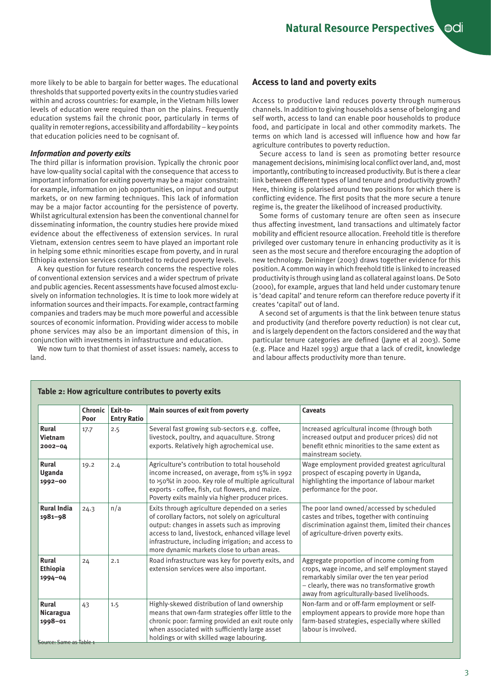more likely to be able to bargain for better wages. The educational thresholds that supported poverty exits in the country studies varied within and across countries: for example, in the Vietnam hills lower levels of education were required than on the plains. Frequently education systems fail the chronic poor, particularly in terms of quality in remoter regions, accessibility and affordability – key points that education policies need to be cognisant of.

# *Information and poverty exits*

The third pillar is information provision. Typically the chronic poor have low-quality social capital with the consequence that access to important information for exiting poverty may be a major constraint: for example, information on job opportunities, on input and output markets, or on new farming techniques. This lack of information may be a major factor accounting for the persistence of poverty. Whilst agricultural extension has been the conventional channel for disseminating information, the country studies here provide mixed evidence about the effectiveness of extension services. In rural Vietnam, extension centres seem to have played an important role in helping some ethnic minorities escape from poverty, and in rural Ethiopia extension services contributed to reduced poverty levels.

A key question for future research concerns the respective roles of conventional extension services and a wider spectrum of private and public agencies. Recent assessments have focused almost exclusively on information technologies. It is time to look more widely at information sources and their impacts. For example, contract farming companies and traders may be much more powerful and accessible sources of economic information. Providing wider access to mobile phone services may also be an important dimension of this, in conjunction with investments in infrastructure and education.

We now turn to that thorniest of asset issues: namely, access to land.

# **Access to land and poverty exits**

Access to productive land reduces poverty through numerous channels. In addition to giving households a sense of belonging and self worth, access to land can enable poor households to produce food, and participate in local and other commodity markets. The terms on which land is accessed will influence how and how far agriculture contributes to poverty reduction.

Secure access to land is seen as promoting better resource management decisions, minimising local conflict over land, and, most importantly, contributing to increased productivity. But is there a clear link between different types of land tenure and productivity growth? Here, thinking is polarised around two positions for which there is conflicting evidence. The first posits that the more secure a tenure regime is, the greater the likelihood of increased productivity.

Some forms of customary tenure are often seen as insecure thus affecting investment, land transactions and ultimately factor mobility and efficient resource allocation. Freehold title is therefore privileged over customary tenure in enhancing productivity as it is seen as the most secure and therefore encouraging the adoption of new technology. Deininger (2003) draws together evidence for this position. A common way in which freehold title is linked to increased productivity is through using land as collateral against loans. De Soto (2000), for example, argues that land held under customary tenure is 'dead capital' and tenure reform can therefore reduce poverty if it creates 'capital' out of land.

A second set of arguments is that the link between tenure status and productivity (and therefore poverty reduction) is not clear cut, and is largely dependent on the factors considered and the way that particular tenure categories are defined (Jayne et al 2003). Some (e.g. Place and Hazel 1993) argue that a lack of credit, knowledge and labour affects productivity more than tenure.

|                                                          | Chronic<br>Poor | Exit-to-<br><b>Entry Ratio</b> | Main sources of exit from poverty                                                                                                                                                                                                                                                                           | <b>Caveats</b>                                                                                                                                                                                                                              |
|----------------------------------------------------------|-----------------|--------------------------------|-------------------------------------------------------------------------------------------------------------------------------------------------------------------------------------------------------------------------------------------------------------------------------------------------------------|---------------------------------------------------------------------------------------------------------------------------------------------------------------------------------------------------------------------------------------------|
| <b>Rural</b><br><b>Vietnam</b><br>$2002 - 04$            | 17.7            | 2.5                            | Several fast growing sub-sectors e.g. coffee,<br>livestock, poultry, and aquaculture. Strong<br>exports. Relatively high agrochemical use.                                                                                                                                                                  | Increased agricultural income (through both<br>increased output and producer prices) did not<br>benefit ethnic minorities to the same extent as<br>mainstream society.                                                                      |
| Rural<br>Uganda<br>1992-00                               | 19.2            | 2.4                            | Agriculture's contribution to total household<br>income increased, on average, from 15% in 1992<br>to >50%t in 2000. Key role of multiple agricultural<br>exports - coffee, fish, cut flowers, and maize.<br>Poverty exits mainly via higher producer prices.                                               | Wage employment provided greatest agricultural<br>prospect of escaping poverty in Uganda,<br>highlighting the importance of labour market<br>performance for the poor.                                                                      |
| <b>Rural India</b><br>1981-98                            | 24.3            | n/a                            | Exits through agriculture depended on a series<br>of corollary factors, not solely on agricultural<br>output: changes in assets such as improving<br>access to land, livestock, enhanced village level<br>infrastructure, including irrigation; and access to<br>more dynamic markets close to urban areas. | The poor land owned/accessed by scheduled<br>castes and tribes, together with continuing<br>discrimination against them, limited their chances<br>of agriculture-driven poverty exits.                                                      |
| Rural<br><b>Ethiopia</b><br>1994-04                      | 24              | 2.1                            | Road infrastructure was key for poverty exits, and<br>extension services were also important.                                                                                                                                                                                                               | Aggregate proportion of income coming from<br>crops, wage income, and self employment stayed<br>remarkably similar over the ten year period<br>- clearly, there was no transformative growth<br>away from agriculturally-based livelihoods. |
| Rural<br>Nicaragua<br>1998-01<br>Source: Same as Table 1 | 43              | 1.5                            | Highly-skewed distribution of land ownership<br>means that own-farm strategies offer little to the<br>chronic poor: farming provided an exit route only<br>when associated with sufficiently large asset<br>holdings or with skilled wage labouring.                                                        | Non-farm and or off-farm employment or self-<br>employment appears to provide more hope than<br>farm-based strategies, especially where skilled<br>labour is involved.                                                                      |

# **Table 2: How agriculture contributes to poverty exits**